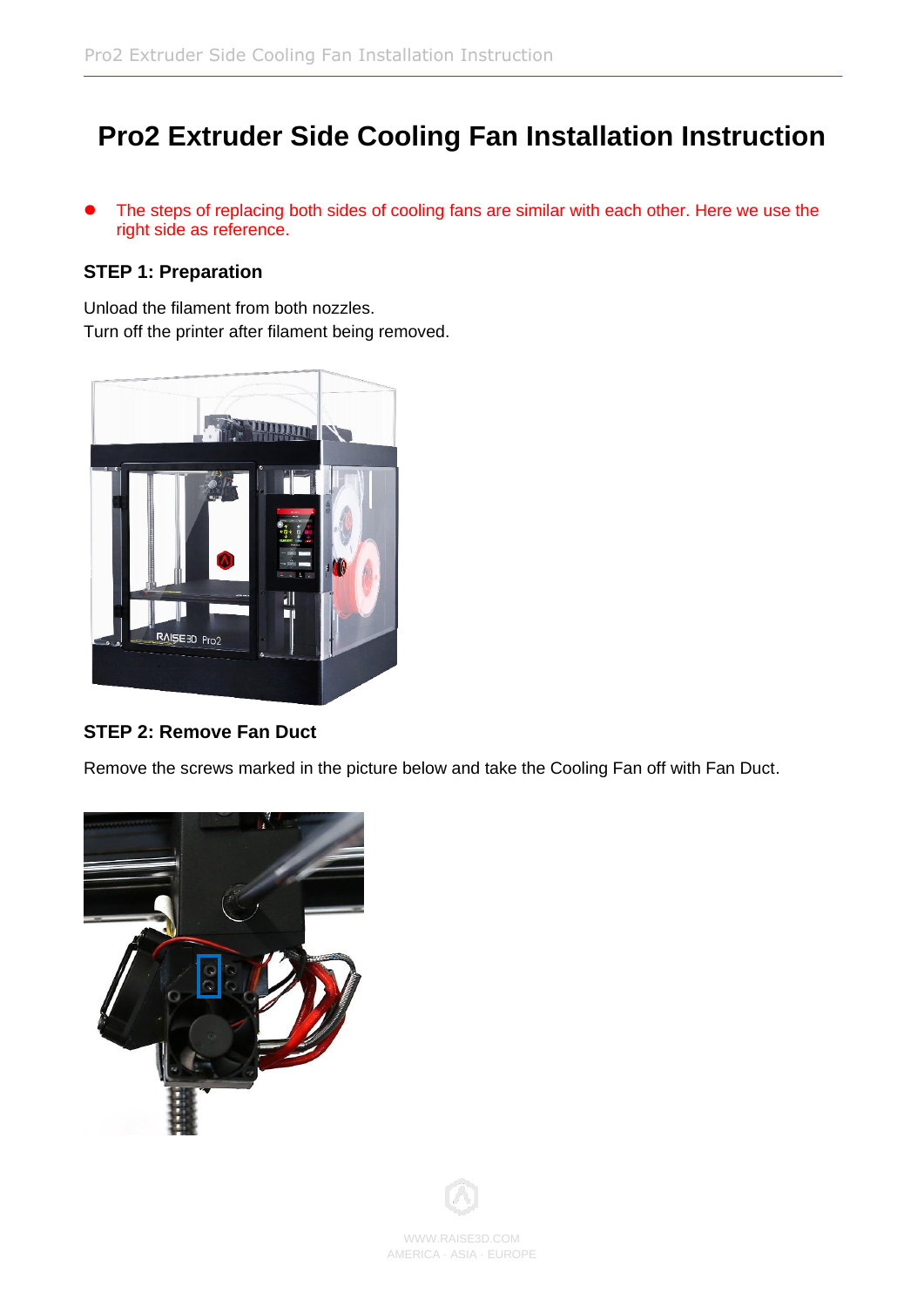# **Pro2 Extruder Side Cooling Fan Installation Instruction**

● The steps of replacing both sides of cooling fans are similar with each other. Here we use the right side as reference.

#### **STEP 1: Preparation**

Unload the filament from both nozzles. Turn off the printer after filament being removed.



#### **STEP 2: Remove Fan Duct**

Remove the screws marked in the picture below and take the Cooling Fan off with Fan Duct.



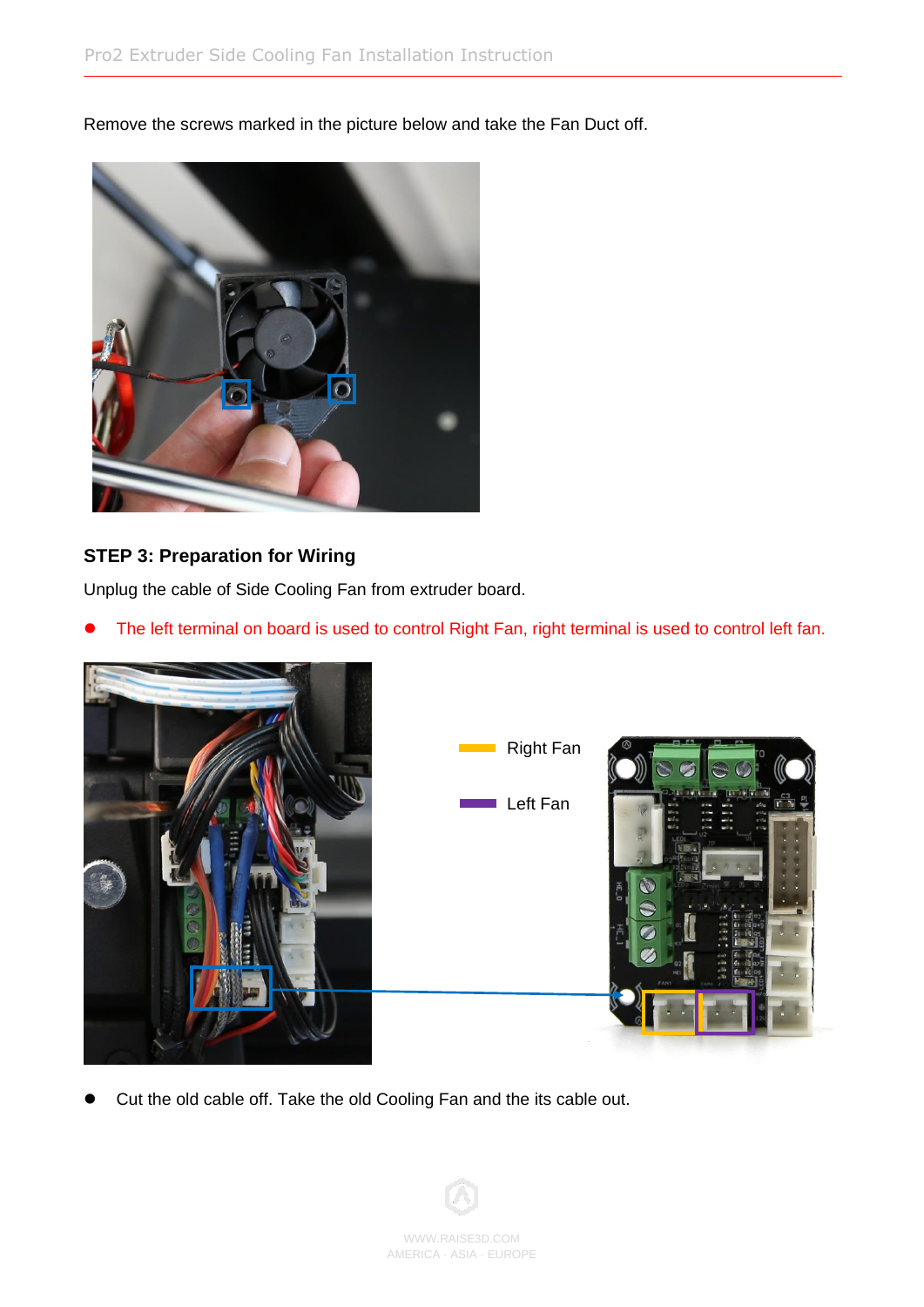Remove the screws marked in the picture below and take the Fan Duct off.



### **STEP 3: Preparation for Wiring**

Unplug the cable of Side Cooling Fan from extruder board.

● The left terminal on board is used to control Right Fan, right terminal is used to control left fan.



● Cut the old cable off. Take the old Cooling Fan and the its cable out.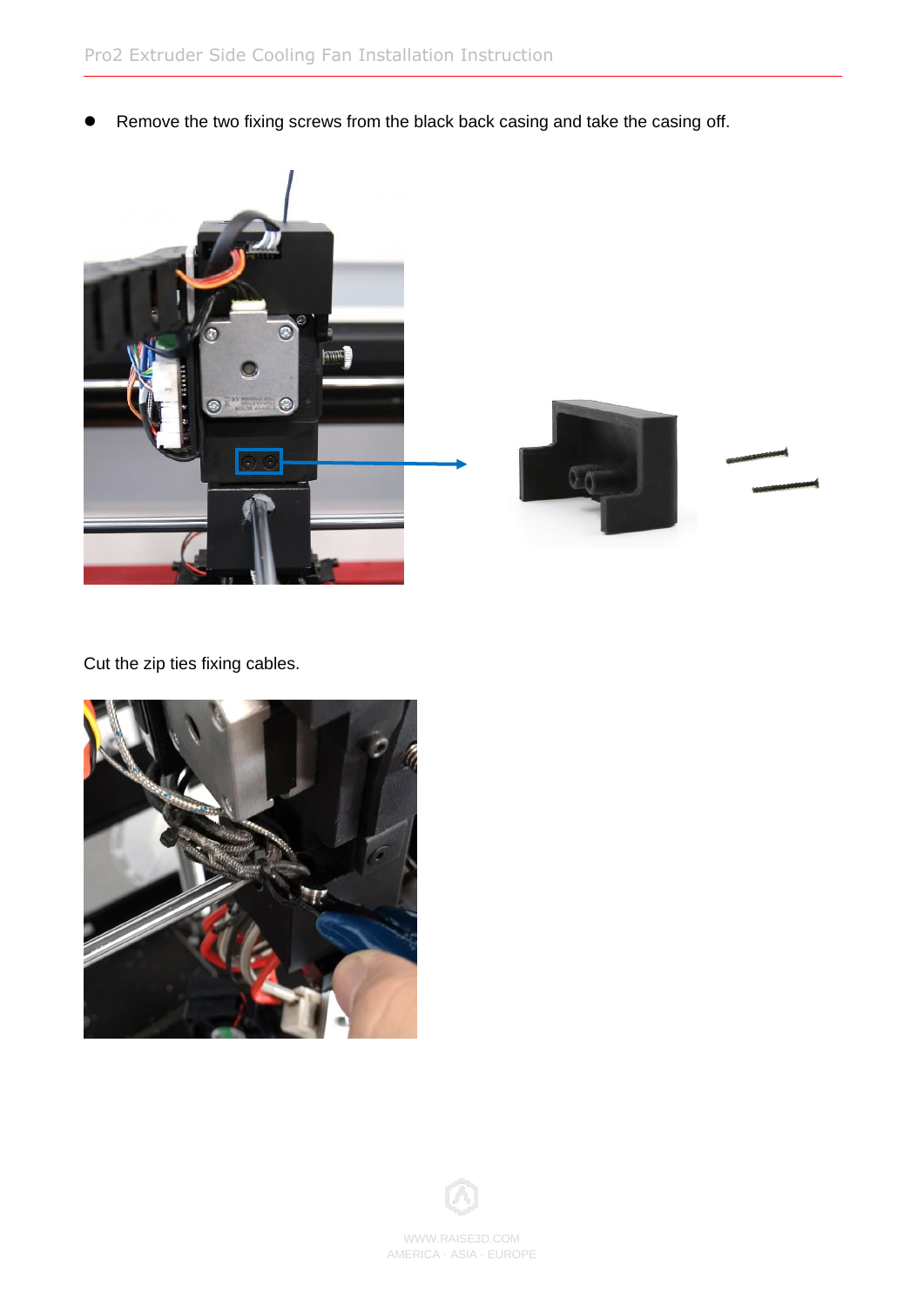● Remove the two fixing screws from the black back casing and take the casing off.





Cut the zip ties fixing cables.



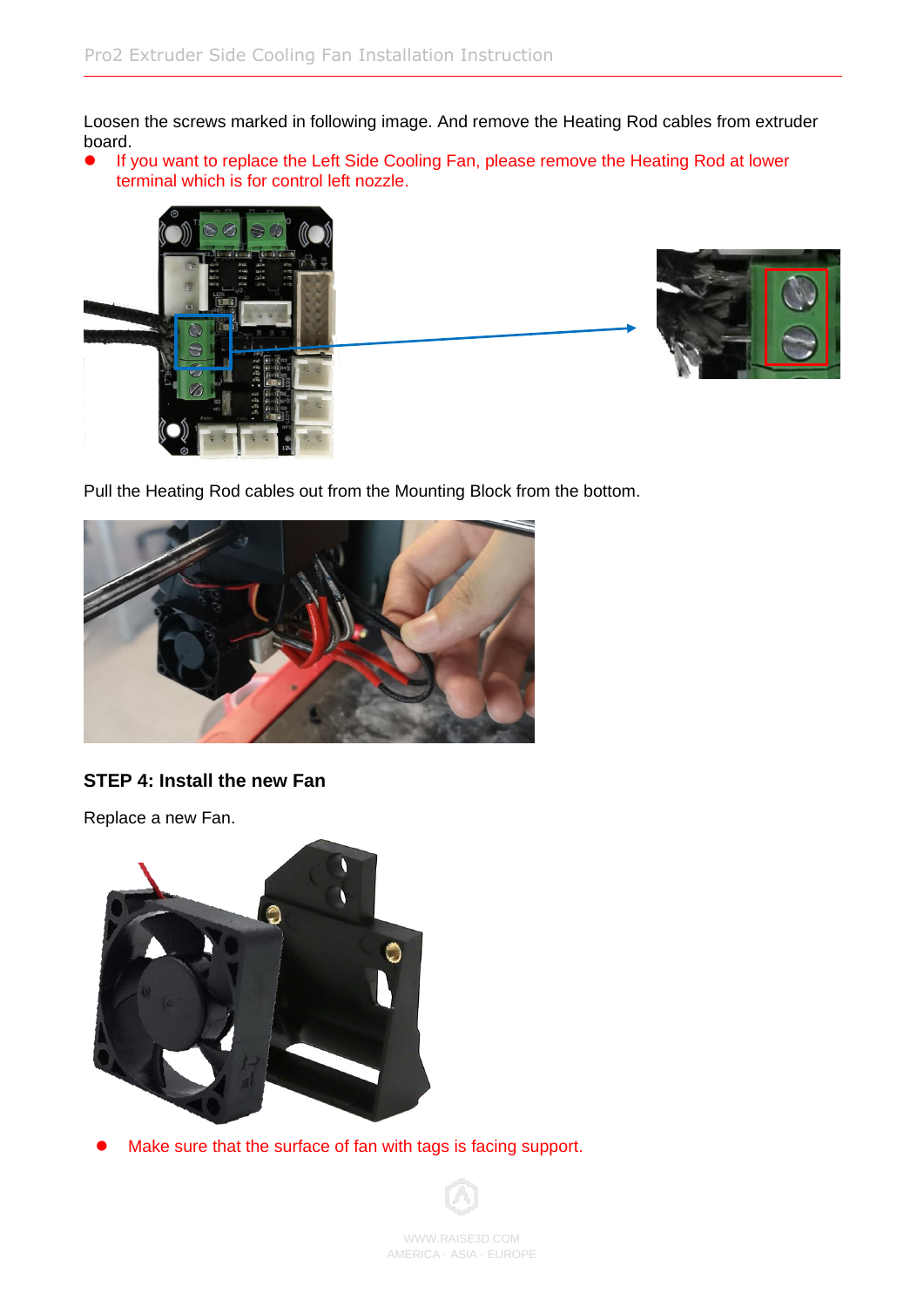Loosen the screws marked in following image. And remove the Heating Rod cables from extruder board.

● If you want to replace the Left Side Cooling Fan, please remove the Heating Rod at lower terminal which is for control left nozzle.





Pull the Heating Rod cables out from the Mounting Block from the bottom.



#### **STEP 4: Install the new Fan**

Replace a new Fan.



⚫ Make sure that the surface of fan with tags is facing support.

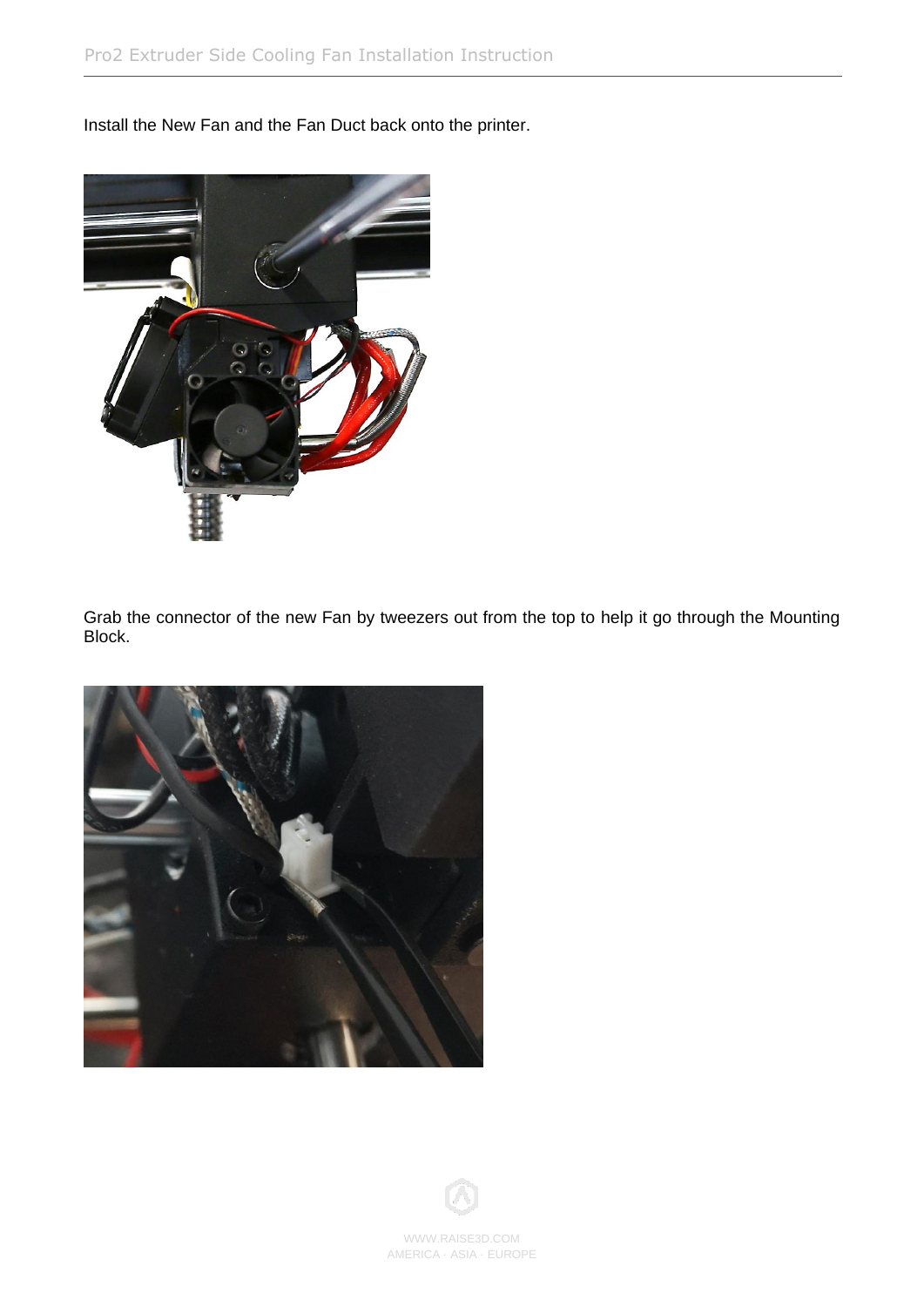Install the New Fan and the Fan Duct back onto the printer.



Grab the connector of the new Fan by tweezers out from the top to help it go through the Mounting Block.





WWW.RAISE3D.COM AMERICA · ASIA · EUROPE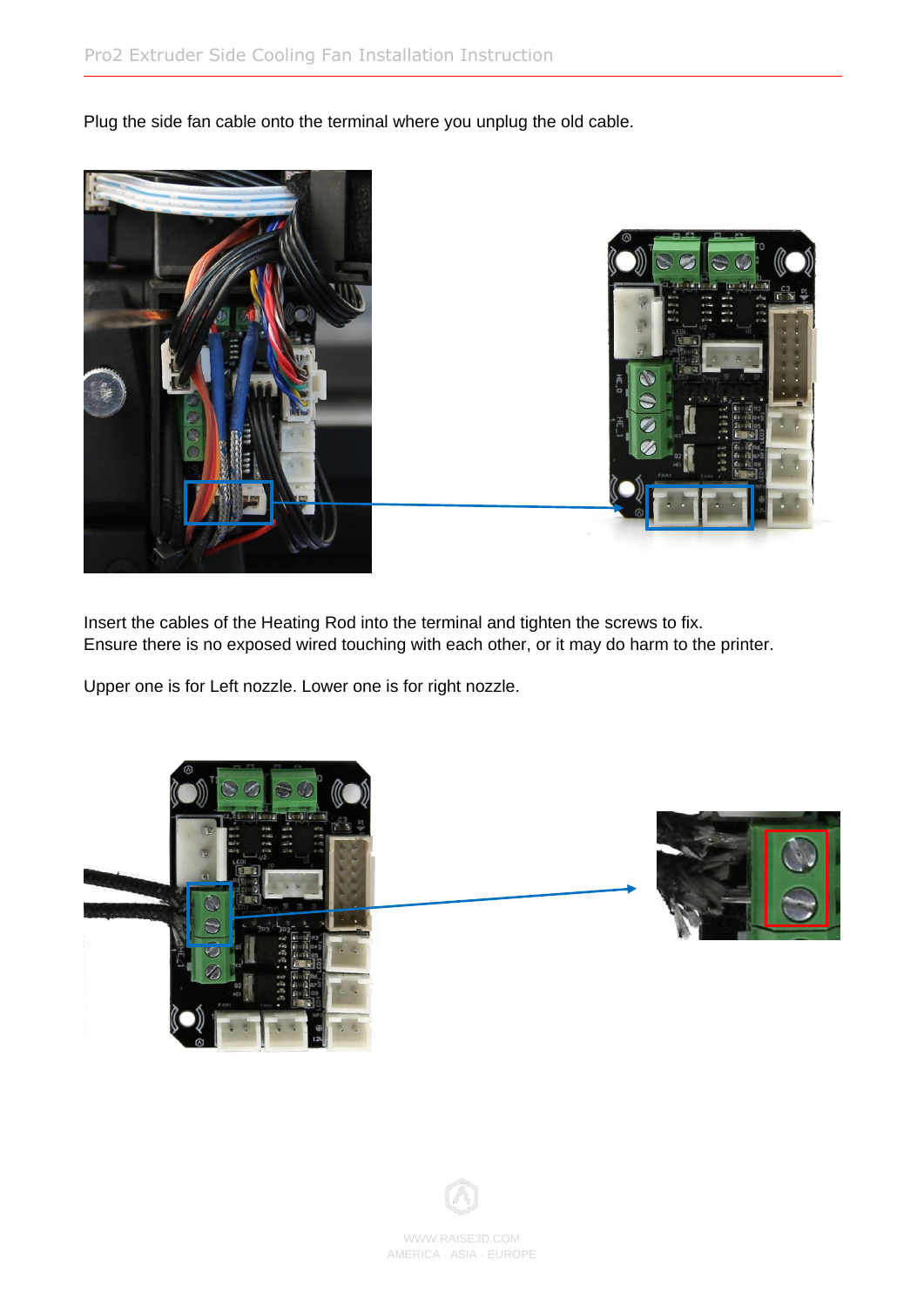Plug the side fan cable onto the terminal where you unplug the old cable.





Insert the cables of the Heating Rod into the terminal and tighten the screws to fix. Ensure there is no exposed wired touching with each other, or it may do harm to the printer.

Upper one is for Left nozzle. Lower one is for right nozzle.